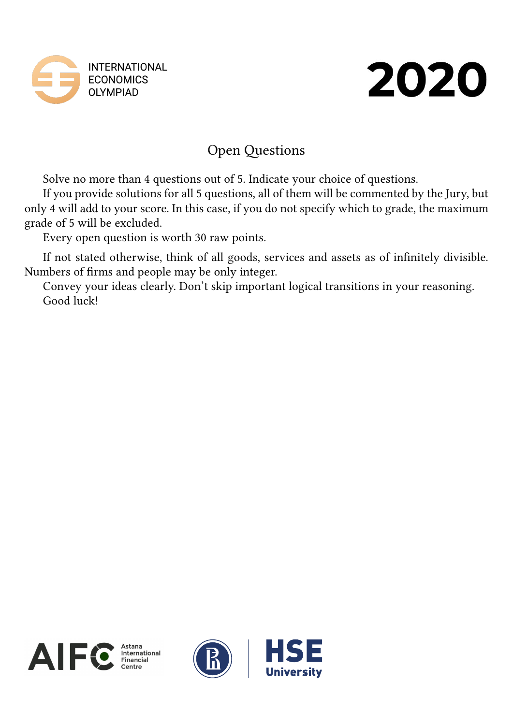



# Open Questions

Solve no more than 4 questions out of 5. Indicate your choice of questions.

If you provide solutions for all 5 questions, all of them will be commented by the Jury, but only 4 will add to your score. In this case, if you do not specify which to grade, the maximum grade of 5 will be excluded.

Every open question is worth 30 raw points.

If not stated otherwise, think of all goods, services and assets as of infinitely divisible. Numbers of firms and people may be only integer.

Convey your ideas clearly. Don't skip important logical transitions in your reasoning. Good luck!





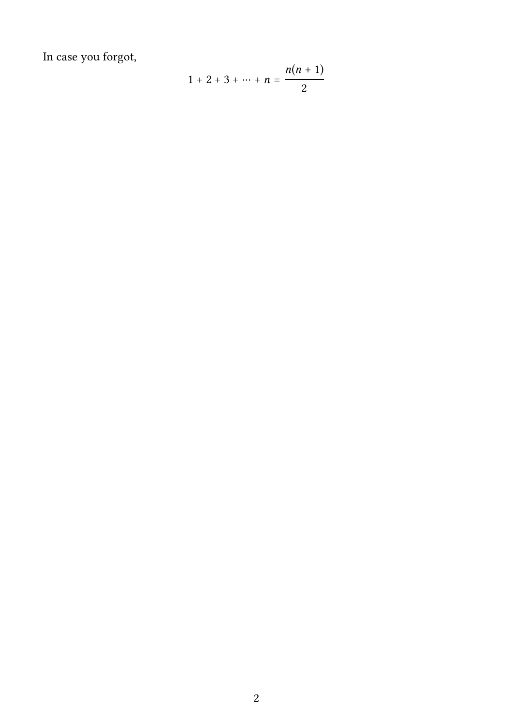In case you forgot,

$$
1 + 2 + 3 + \dots + n = \frac{n(n+1)}{2}
$$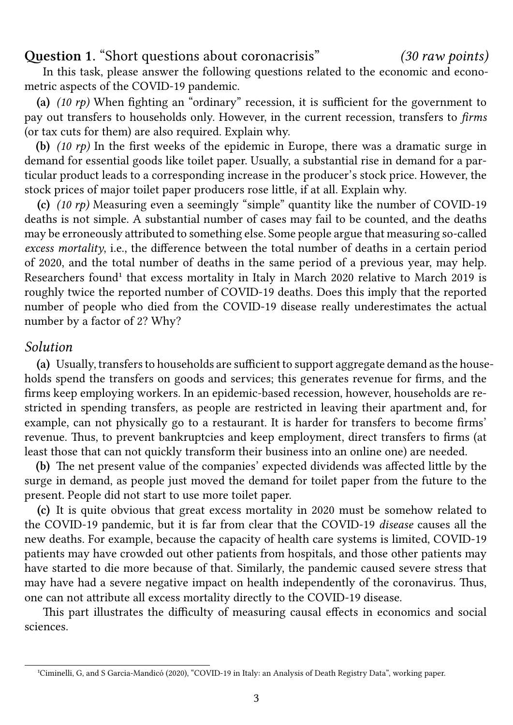**Question 1.** "Short questions about coronacrisis" *(30 raw points)*

In this task, please answer the following questions related to the economic and econometric aspects of the COVID-19 pandemic.

**(a)** *(10 rp)* When fighting an "ordinary" recession, it is sufficient for the government to pay out transfers to households only. However, in the current recession, transfers to *firms* (or tax cuts for them) are also required. Explain why.

**(b)** *(10 rp)* In the first weeks of the epidemic in Europe, there was a dramatic surge in demand for essential goods like toilet paper. Usually, a substantial rise in demand for a particular product leads to a corresponding increase in the producer's stock price. However, the stock prices of major toilet paper producers rose little, if at all. Explain why.

**(c)** *(10 rp)* Measuring even a seemingly "simple" quantity like the number of COVID-19 deaths is not simple. A substantial number of cases may fail to be counted, and the deaths may be erroneously attributed to something else. Some people argue that measuring so-called *excess mortality*, i.e., the difference between the total number of deaths in a certain period of 2020, and the total number of deaths in the same period of a previous year, may help. Researchers found<sup>1</sup> that excess mortality in Italy in March 2020 relative to March 2019 is roughly twice the reported number of COVID-19 deaths. Does this imply that the reported number of people who died from the COVID-19 disease really underestimates the actual number by a facto[r](#page-2-0) of 2? Why?

### *Solution*

**(a)** Usually, transfers to households are sufficient to support aggregate demand as the households spend the transfers on goods and services; this generates revenue for firms, and the firms keep employing workers. In an epidemic-based recession, however, households are restricted in spending transfers, as people are restricted in leaving their apartment and, for example, can not physically go to a restaurant. It is harder for transfers to become firms' revenue. Thus, to prevent bankruptcies and keep employment, direct transfers to firms (at least those that can not quickly transform their business into an online one) are needed.

**(b)** The net present value of the companies' expected dividends was affected little by the surge in demand, as people just moved the demand for toilet paper from the future to the present. People did not start to use more toilet paper.

**(c)** It is quite obvious that great excess mortality in 2020 must be somehow related to the COVID-19 pandemic, but it is far from clear that the COVID-19 *disease* causes all the new deaths. For example, because the capacity of health care systems is limited, COVID-19 patients may have crowded out other patients from hospitals, and those other patients may have started to die more because of that. Similarly, the pandemic caused severe stress that may have had a severe negative impact on health independently of the coronavirus. Thus, one can not attribute all excess mortality directly to the COVID-19 disease.

This part illustrates the difficulty of measuring causal effects in economics and social sciences.

<span id="page-2-0"></span><sup>&</sup>lt;sup>1</sup>Ciminelli, G, and S Garcia-Mandicó (2020), "COVID-19 in Italy: an Analysis of Death Registry Data", working paper.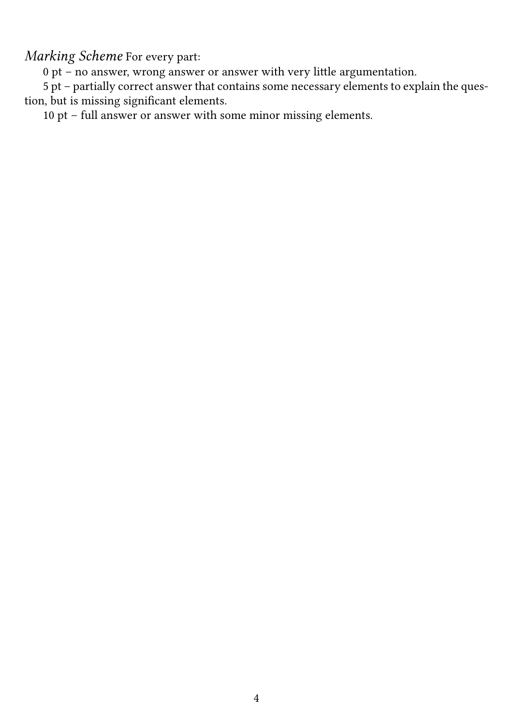*Marking Scheme* For every part:

0 pt – no answer, wrong answer or answer with very little argumentation.

5 pt – partially correct answer that contains some necessary elements to explain the question, but is missing significant elements.

10 pt – full answer or answer with some minor missing elements.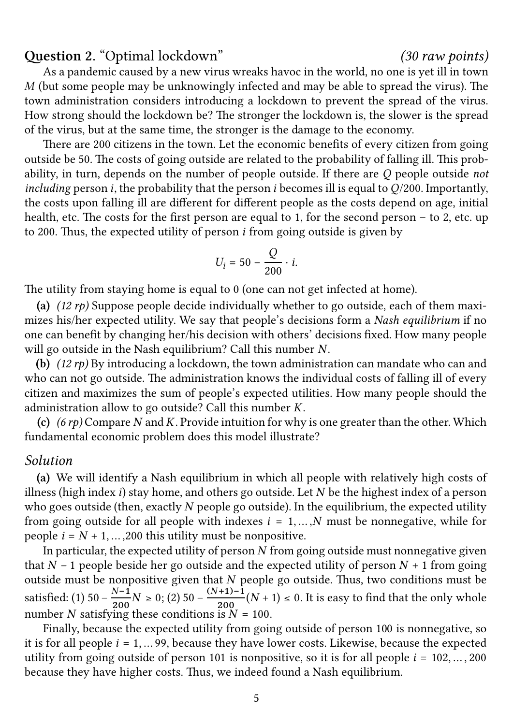### **Question 2.** "Optimal lockdown" *(30 raw points)*

As a pandemic caused by a new virus wreaks havoc in the world, no one is yet ill in town  $M$  (but some people may be unknowingly infected and may be able to spread the virus). The town administration considers introducing a lockdown to prevent the spread of the virus. How strong should the lockdown be? The stronger the lockdown is, the slower is the spread of the virus, but at the same time, the stronger is the damage to the economy.

There are 200 citizens in the town. Let the economic benefits of every citizen from going outside be 50. The costs of going outside are related to the probability of falling ill. This probability, in turn, depends on the number of people outside. If there are Q people outside *not including* person *i*, the probability that the person *i* becomes ill is equal to  $Q/200$ . Importantly, the costs upon falling ill are different for different people as the costs depend on age, initial health, etc. The costs for the first person are equal to 1, for the second person – to 2, etc. up to 200. Thus, the expected utility of person  $i$  from going outside is given by

$$
U_i = 50 - \frac{Q}{200} \cdot i.
$$

The utility from staying home is equal to 0 (one can not get infected at home).

**(a)** *(12 rp)* Suppose people decide individually whether to go outside, each of them maximizes his/her expected utility. We say that people's decisions form a *Nash equilibrium* if no one can benefit by changing her/his decision with others' decisions fixed. How many people will go outside in the Nash equilibrium? Call this number  $N$ .

**(b)** *(12 rp)* By introducing a lockdown, the town administration can mandate who can and who can not go outside. The administration knows the individual costs of falling ill of every citizen and maximizes the sum of people's expected utilities. How many people should the administration allow to go outside? Call this number  $K$ .

**(c)**  $(6 \text{ rp})$  Compare N and K. Provide intuition for why is one greater than the other. Which fundamental economic problem does this model illustrate?

#### *Solution*

**(a)** We will identify a Nash equilibrium in which all people with relatively high costs of illness (high index  $i$ ) stay home, and others go outside. Let  $N$  be the highest index of a person who goes outside (then, exactly  $N$  people go outside). In the equilibrium, the expected utility from going outside for all people with indexes  $i = 1, \dots, N$  must be nonnegative, while for people  $i = N + 1, \ldots, 200$  this utility must be nonpositive.

In particular, the expected utility of person  $N$  from going outside must nonnegative given that  $N - 1$  people beside her go outside and the expected utility of person  $N + 1$  from going outside must be nonpositive given that  $N$  people go outside. Thus, two conditions must be satisfied: (1) 50 −  $\frac{N-1}{200}N \ge 0$ ; (2) 50 −  $\frac{(N+1)-1}{200}(N+1) \le 0$ . It is easy to find that the only whole number N satisfying these conditions is  $N = 100$ .

Finally, because the expected utility from going outside of person 100 is nonnegative, so it is for all people  $i = 1, \ldots 99$ , because they have lower costs. Likewise, because the expected utility from going outside of person 101 is nonpositive, so it is for all people  $i = 102, \ldots, 200$ because they have higher costs. Thus, we indeed found a Nash equilibrium.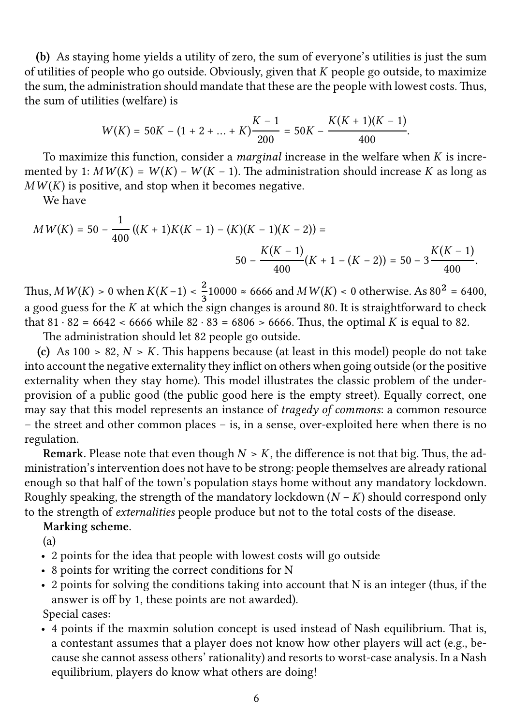**(b)** As staying home yields a utility of zero, the sum of everyone's utilities is just the sum of utilities of people who go outside. Obviously, given that  $K$  people go outside, to maximize the sum, the administration should mandate that these are the people with lowest costs. Thus, the sum of utilities (welfare) is

$$
W(K) = 50K - (1 + 2 + ... + K)\frac{K - 1}{200} = 50K - \frac{K(K + 1)(K - 1)}{400}.
$$

To maximize this function, consider a *marginal* increase in the welfare when  $K$  is incremented by 1:  $M W(K) = W(K) - W(K - 1)$ . The administration should increase K as long as  $M W(K)$  is positive, and stop when it becomes negative.

We have

$$
MW(K) = 50 - \frac{1}{400} \left( (K+1)K(K-1) - (K)(K-1)(K-2) \right) =
$$
  

$$
50 - \frac{K(K-1)}{400} (K+1 - (K-2)) = 50 - 3 \frac{K(K-1)}{400}.
$$

Thus,  $MW(K) > 0$  when  $K(K-1) < \frac{2}{3}10000 \approx 6666$  and  $MW(K) < 0$  otherwise. As  $80^2 = 6400$ , a good guess for the  $K$  at which the sign changes is around 80. It is straightforward to check that  $81 \cdot 82 = 6642 < 6666$  while  $82 \cdot 83 = 6806 > 6666$ . Thus, the optimal K is equal to 82.

The administration should let 82 people go outside.

(c) As  $100 > 82$ ,  $N > K$ . This happens because (at least in this model) people do not take into account the negative externality they inflict on others when going outside (or the positive externality when they stay home). This model illustrates the classic problem of the underprovision of a public good (the public good here is the empty street). Equally correct, one may say that this model represents an instance of *tragedy of commons*: a common resource – the street and other common places – is, in a sense, over-exploited here when there is no regulation.

**Remark.** Please note that even though  $N > K$ , the difference is not that big. Thus, the administration's intervention does not have to be strong: people themselves are already rational enough so that half of the town's population stays home without any mandatory lockdown. Roughly speaking, the strength of the mandatory lockdown  $(N - K)$  should correspond only to the strength of *externalities* people produce but not to the total costs of the disease.

#### **Marking scheme.**

(a)

- 2 points for the idea that people with lowest costs will go outside
- 8 points for writing the correct conditions for N
- 2 points for solving the conditions taking into account that N is an integer (thus, if the answer is off by 1, these points are not awarded).

Special cases:

• 4 points if the maxmin solution concept is used instead of Nash equilibrium. That is, a contestant assumes that a player does not know how other players will act (e.g., because she cannot assess others' rationality) and resorts to worst-case analysis. In a Nash equilibrium, players do know what others are doing!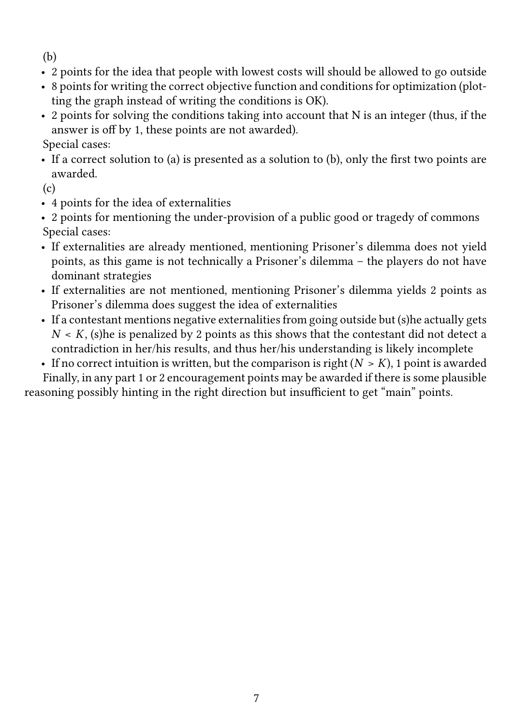(b)

- 2 points for the idea that people with lowest costs will should be allowed to go outside
- 8 points for writing the correct objective function and conditions for optimization (plotting the graph instead of writing the conditions is OK).
- 2 points for solving the conditions taking into account that N is an integer (thus, if the answer is off by 1, these points are not awarded).

Special cases:

• If a correct solution to (a) is presented as a solution to (b), only the first two points are awarded.

(c)

- 4 points for the idea of externalities
- 2 points for mentioning the under-provision of a public good or tragedy of commons Special cases:
- If externalities are already mentioned, mentioning Prisoner's dilemma does not yield points, as this game is not technically a Prisoner's dilemma – the players do not have dominant strategies
- If externalities are not mentioned, mentioning Prisoner's dilemma yields 2 points as Prisoner's dilemma does suggest the idea of externalities
- If a contestant mentions negative externalities from going outside but (s)he actually gets  $N < K$ , (s) he is penalized by 2 points as this shows that the contestant did not detect a contradiction in her/his results, and thus her/his understanding is likely incomplete
- If no correct intuition is written, but the comparison is right  $(N > K)$ , 1 point is awarded

Finally, in any part 1 or 2 encouragement points may be awarded if there is some plausible reasoning possibly hinting in the right direction but insufficient to get "main" points.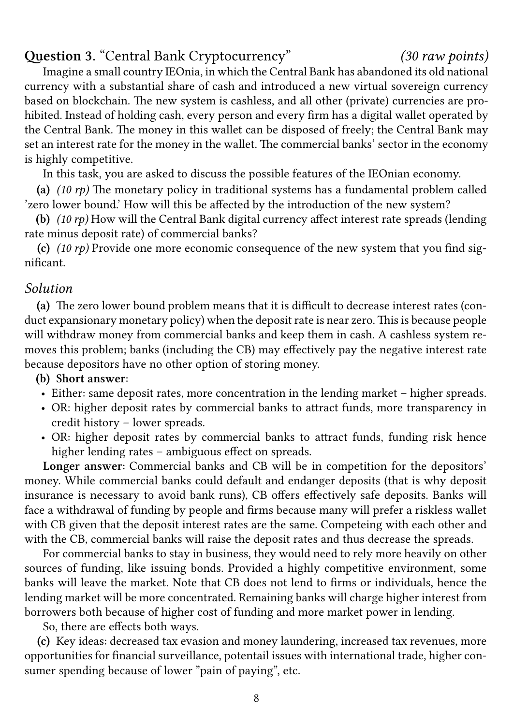## **Question 3.** "Central Bank Cryptocurrency" *(30 raw points)*

Imagine a small country IEOnia, in which the Central Bank has abandoned its old national currency with a substantial share of cash and introduced a new virtual sovereign currency based on blockchain. The new system is cashless, and all other (private) currencies are prohibited. Instead of holding cash, every person and every firm has a digital wallet operated by the Central Bank. The money in this wallet can be disposed of freely; the Central Bank may set an interest rate for the money in the wallet. The commercial banks' sector in the economy is highly competitive.

In this task, you are asked to discuss the possible features of the IEOnian economy.

**(a)** *(10 rp)* The monetary policy in traditional systems has a fundamental problem called 'zero lower bound.' How will this be affected by the introduction of the new system?

**(b)** *(10 rp)* How will the Central Bank digital currency affect interest rate spreads (lending rate minus deposit rate) of commercial banks?

**(c)** *(10 rp)* Provide one more economic consequence of the new system that you find significant.

#### *Solution*

**(a)** The zero lower bound problem means that it is difficult to decrease interest rates (conduct expansionary monetary policy) when the deposit rate is near zero. This is because people will withdraw money from commercial banks and keep them in cash. A cashless system removes this problem; banks (including the CB) may effectively pay the negative interest rate because depositors have no other option of storing money.

### **(b) Short answer:**

- Either: same deposit rates, more concentration in the lending market higher spreads.
- OR: higher deposit rates by commercial banks to attract funds, more transparency in credit history – lower spreads.
- OR: higher deposit rates by commercial banks to attract funds, funding risk hence higher lending rates – ambiguous effect on spreads.

**Longer answer:** Commercial banks and CB will be in competition for the depositors' money. While commercial banks could default and endanger deposits (that is why deposit insurance is necessary to avoid bank runs), CB offers effectively safe deposits. Banks will face a withdrawal of funding by people and firms because many will prefer a riskless wallet with CB given that the deposit interest rates are the same. Competeing with each other and with the CB, commercial banks will raise the deposit rates and thus decrease the spreads.

For commercial banks to stay in business, they would need to rely more heavily on other sources of funding, like issuing bonds. Provided a highly competitive environment, some banks will leave the market. Note that CB does not lend to firms or individuals, hence the lending market will be more concentrated. Remaining banks will charge higher interest from borrowers both because of higher cost of funding and more market power in lending.

So, there are effects both ways.

**(c)** Key ideas: decreased tax evasion and money laundering, increased tax revenues, more opportunities for financial surveillance, potentail issues with international trade, higher consumer spending because of lower "pain of paying", etc.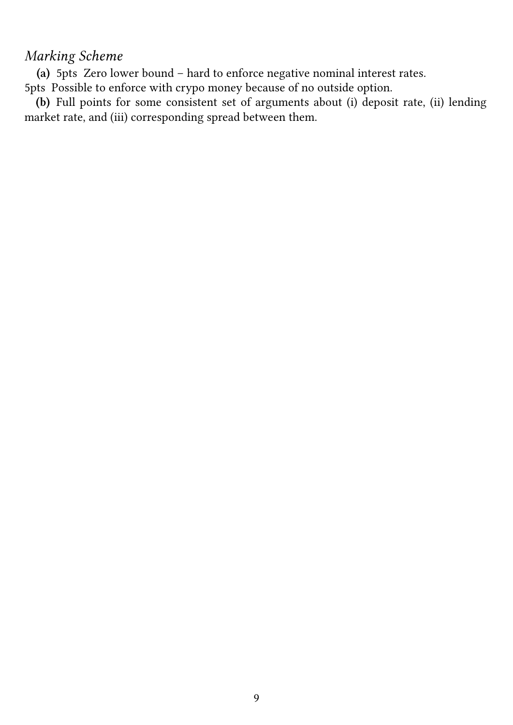## *Marking Scheme*

**(a)** 5pts Zero lower bound – hard to enforce negative nominal interest rates.

5pts Possible to enforce with crypo money because of no outside option.

**(b)** Full points for some consistent set of arguments about (i) deposit rate, (ii) lending market rate, and (iii) corresponding spread between them.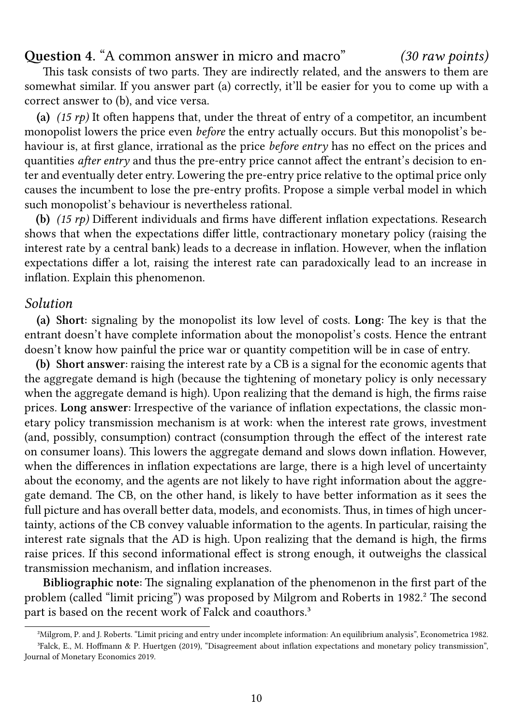**Question 4.** "A common answer in micro and macro" *(30 raw points)*

This task consists of two parts. They are indirectly related, and the answers to them are somewhat similar. If you answer part (a) correctly, it'll be easier for you to come up with a correct answer to (b), and vice versa.

**(a)** *(15 rp)* It often happens that, under the threat of entry of a competitor, an incumbent monopolist lowers the price even *before* the entry actually occurs. But this monopolist's behaviour is, at first glance, irrational as the price *before entry* has no effect on the prices and quantities *after entry* and thus the pre-entry price cannot affect the entrant's decision to enter and eventually deter entry. Lowering the pre-entry price relative to the optimal price only causes the incumbent to lose the pre-entry profits. Propose a simple verbal model in which such monopolist's behaviour is nevertheless rational.

**(b)** *(15 rp)* Different individuals and firms have different inflation expectations. Research shows that when the expectations differ little, contractionary monetary policy (raising the interest rate by a central bank) leads to a decrease in inflation. However, when the inflation expectations differ a lot, raising the interest rate can paradoxically lead to an increase in inflation. Explain this phenomenon.

#### *Solution*

**(a) Short:** signaling by the monopolist its low level of costs. **Long:** The key is that the entrant doesn't have complete information about the monopolist's costs. Hence the entrant doesn't know how painful the price war or quantity competition will be in case of entry.

**(b) Short answer:** raising the interest rate by a CB is a signal for the economic agents that the aggregate demand is high (because the tightening of monetary policy is only necessary when the aggregate demand is high). Upon realizing that the demand is high, the firms raise prices. **Long answer:** Irrespective of the variance of inflation expectations, the classic monetary policy transmission mechanism is at work: when the interest rate grows, investment (and, possibly, consumption) contract (consumption through the effect of the interest rate on consumer loans). This lowers the aggregate demand and slows down inflation. However, when the differences in inflation expectations are large, there is a high level of uncertainty about the economy, and the agents are not likely to have right information about the aggregate demand. The CB, on the other hand, is likely to have better information as it sees the full picture and has overall better data, models, and economists. Thus, in times of high uncertainty, actions of the CB convey valuable information to the agents. In particular, raising the interest rate signals that the AD is high. Upon realizing that the demand is high, the firms raise prices. If this second informational effect is strong enough, it outweighs the classical transmission mechanism, and inflation increases.

**Bibliographic note:** The signaling explanation of the phenomenon in the first part of the problem (called "limit pricing") was proposed by Milgrom and Roberts in 1982.² The second part is based on the recent work of Falck and coauthors.<sup>3</sup>

<span id="page-9-1"></span><span id="page-9-0"></span>²Milgrom, P. and J. Roberts. "Limit pricing and entry under incomplete information: An equilibrium analysis", [Ec](#page-9-0)onometrica 1982. ³Falck, E., M. Hoffmann & P. Huertgen (2019), "Disagreement about inflatio[n](#page-9-1) expectations and monetary policy transmission", Journal of Monetary Economics 2019.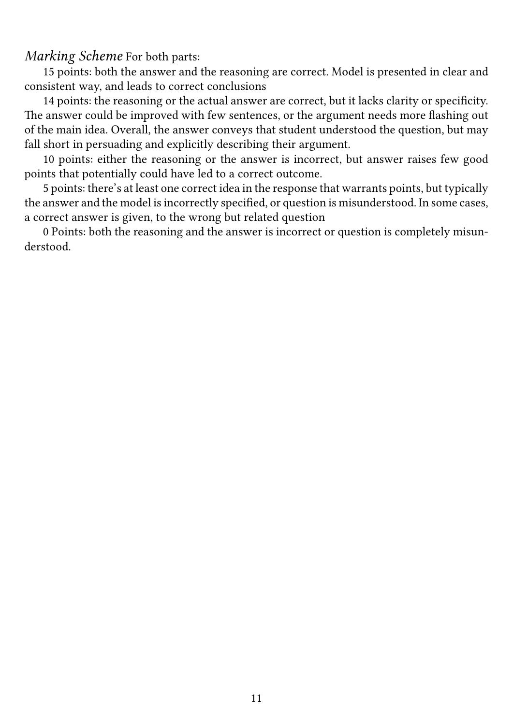*Marking Scheme* For both parts:

15 points: both the answer and the reasoning are correct. Model is presented in clear and consistent way, and leads to correct conclusions

14 points: the reasoning or the actual answer are correct, but it lacks clarity or specificity. The answer could be improved with few sentences, or the argument needs more flashing out of the main idea. Overall, the answer conveys that student understood the question, but may fall short in persuading and explicitly describing their argument.

10 points: either the reasoning or the answer is incorrect, but answer raises few good points that potentially could have led to a correct outcome.

5 points: there's at least one correct idea in the response that warrants points, but typically the answer and the model is incorrectly specified, or question is misunderstood. In some cases, a correct answer is given, to the wrong but related question

0 Points: both the reasoning and the answer is incorrect or question is completely misunderstood.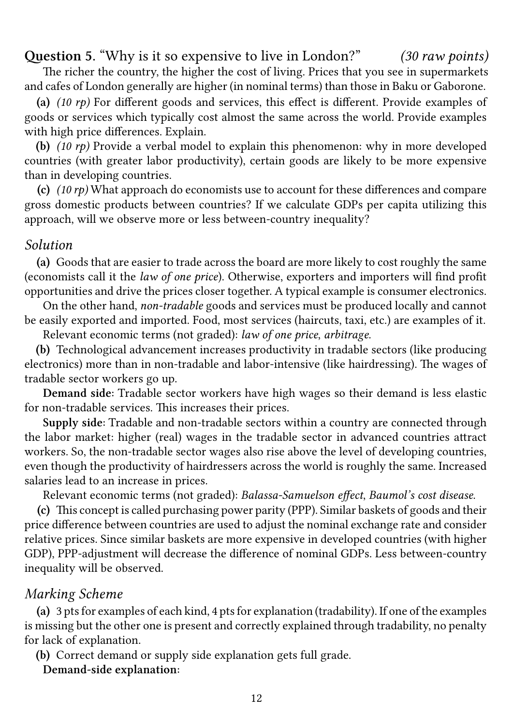## **Question 5.** "Why is it so expensive to live in London?" *(30 raw points)*

The richer the country, the higher the cost of living. Prices that you see in supermarkets and cafes of London generally are higher (in nominal terms) than those in Baku or Gaborone.

**(a)** *(10 rp)* For different goods and services, this effect is different. Provide examples of goods or services which typically cost almost the same across the world. Provide examples with high price differences. Explain.

**(b)** *(10 rp)* Provide a verbal model to explain this phenomenon: why in more developed countries (with greater labor productivity), certain goods are likely to be more expensive than in developing countries.

**(c)** *(10 rp)* What approach do economists use to account for these differences and compare gross domestic products between countries? If we calculate GDPs per capita utilizing this approach, will we observe more or less between-country inequality?

#### *Solution*

**(a)** Goods that are easier to trade across the board are more likely to cost roughly the same (economists call it the *law of one price*). Otherwise, exporters and importers will find profit opportunities and drive the prices closer together. A typical example is consumer electronics.

On the other hand, *non-tradable* goods and services must be produced locally and cannot be easily exported and imported. Food, most services (haircuts, taxi, etc.) are examples of it.

Relevant economic terms (not graded): *law of one price*, *arbitrage*.

**(b)** Technological advancement increases productivity in tradable sectors (like producing electronics) more than in non-tradable and labor-intensive (like hairdressing). The wages of tradable sector workers go up.

**Demand side:** Tradable sector workers have high wages so their demand is less elastic for non-tradable services. This increases their prices.

**Supply side:** Tradable and non-tradable sectors within a country are connected through the labor market: higher (real) wages in the tradable sector in advanced countries attract workers. So, the non-tradable sector wages also rise above the level of developing countries, even though the productivity of hairdressers across the world is roughly the same. Increased salaries lead to an increase in prices.

Relevant economic terms (not graded): *Balassa-Samuelson effect*, *Baumol's cost disease*.

**(c)** This concept is called purchasing power parity (PPP). Similar baskets of goods and their price difference between countries are used to adjust the nominal exchange rate and consider relative prices. Since similar baskets are more expensive in developed countries (with higher GDP), PPP-adjustment will decrease the difference of nominal GDPs. Less between-country inequality will be observed.

#### *Marking Scheme*

**(a)** 3 pts for examples of each kind, 4 pts for explanation (tradability). If one of the examples is missing but the other one is present and correctly explained through tradability, no penalty for lack of explanation.

**(b)** Correct demand or supply side explanation gets full grade.

**Demand-side explanation:**